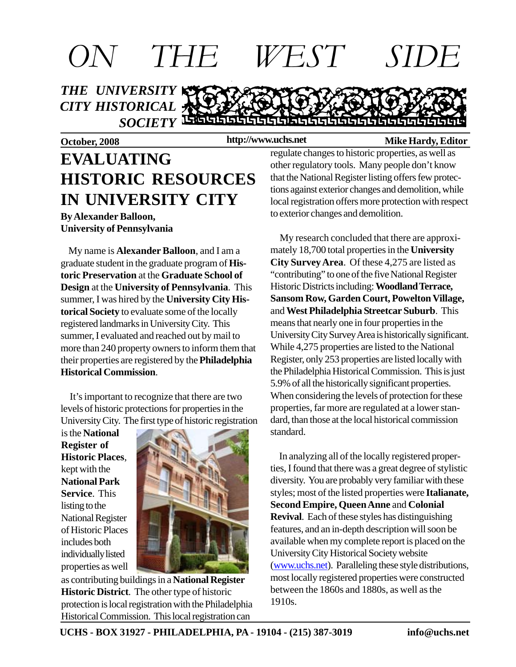

**http://www.uchs.net**

#### **October, 2008 http://www.uchs.net** Mike Hardy, Editor

# **EVALUATING HISTORIC RESOURCES IN UNIVERSITY CITY**

**By Alexander Balloon, University of Pennsylvania**

 My name is **Alexander Balloon**, and I am a graduate student in the graduate program of **Historic Preservation** at the **Graduate School of Design** at the **University of Pennsylvania**. This summer, I was hired by the **University City Historical Society** to evaluate some of the locally registered landmarks in University City. This summer, I evaluated and reached out by mail to more than 240 property owners to inform them that their properties are registered by the **Philadelphia Historical Commission**.

 It's important to recognize that there are two levels of historic protections for properties in the University City. The first type of historic registration

is the **National Register of Historic Places**, kept with the **National Park Service**. This listing to the National Register of Historic Places includes both individually listed properties as well



as contributing buildings in a **National Register Historic District**. The other type of historic protection is local registration with the Philadelphia Historical Commission. This local registration can

regulate changes to historic properties, as well as other regulatory tools. Many people don't know that the National Register listing offers few protections against exterior changes and demolition, while local registration offers more protection with respect to exterior changes and demolition.

 My research concluded that there are approximately 18,700 total properties in the **University City Survey Area**. Of these 4,275 are listed as "contributing" to one of the five National Register Historic Districts including: **Woodland Terrace, Sansom Row, Garden Court, Powelton Village,** and **West Philadelphia Streetcar Suburb**. This means that nearly one in four properties in the University City Survey Area is historically significant. While 4,275 properties are listed to the National Register, only 253 properties are listed locally with the Philadelphia Historical Commission. This is just 5.9% of all the historically significant properties. When considering the levels of protection for these properties, far more are regulated at a lower standard, than those at the local historical commission standard.

 In analyzing all of the locally registered properties, I found that there was a great degree of stylistic diversity. You are probably very familiar with these styles; most of the listed properties were **Italianate, Second Empire, Queen Anne** and **Colonial Revival**. Each of these styles has distinguishing features, and an in-depth description will soon be available when my complete report is placed on the University City Historical Society website (www.uchs.net). Paralleling these style distributions, most locally registered properties were constructed between the 1860s and 1880s, as well as the 1910s.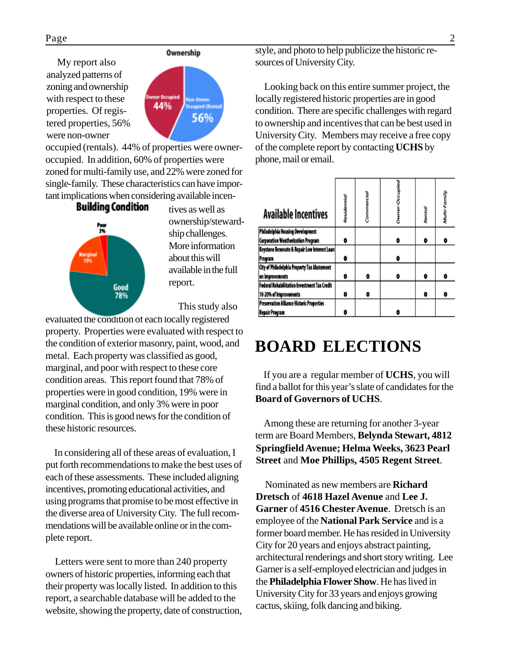My report also analyzed patterns of zoning and ownership with respect to these properties. Of registered properties, 56% were non-owner



occupied (rentals). 44% of properties were owneroccupied. In addition, 60% of properties were zoned for multi-family use, and 22% were zoned for single-family. These characteristics can have important implications when considering available incen-

> **Building Condition** Poor<br>3% Good

tives as well as ownership/stewardship challenges. More information about this will available in the full report.

This study also

evaluated the condition of each locally registered property. Properties were evaluated with respect to the condition of exterior masonry, paint, wood, and metal. Each property was classified as good, marginal, and poor with respect to these core condition areas. This report found that 78% of properties were in good condition, 19% were in marginal condition, and only 3% were in poor condition. This is good news for the condition of these historic resources.

 In considering all of these areas of evaluation, I put forth recommendations to make the best uses of each of these assessments. These included aligning incentives, promoting educational activities, and using programs that promise to be most effective in the diverse area of University City. The full recommendations will be available online or in the complete report.

 Letters were sent to more than 240 property owners of historic properties, informing each that their property was locally listed. In addition to this report, a searchable database will be added to the website, showing the property, date of construction,

style, and photo to help publicize the historic resources of University City.

 Looking back on this entire summer project, the locally registered historic properties are in good condition. There are specific challenges with regard to ownership and incentives that can be best used in University City. Members may receive a free copy of the complete report by contacting **UCHS** by phone, mail or email.

| <b>Available Incentives</b>                         | Residential | Commercial |   | Rental | Munty-Farmily |
|-----------------------------------------------------|-------------|------------|---|--------|---------------|
| Philadelphia Housing Development                    |             |            |   |        |               |
| Corporation Weatherization Program                  | ۰           |            | ۰ | ٥      |               |
| Keystone Renovate & Repair Low Interest Loan        |             |            |   |        |               |
| Program                                             | ۰           |            |   |        |               |
| City of Philadelphia Property Tax Abatement         |             |            |   |        |               |
| on improvements                                     | ۰           | ۰          | o | ۰      |               |
| <b>Federal Rehabilitation Investment Tax Credit</b> |             |            |   |        |               |
| 10-20% of Improvements                              | ۰           | ۰          |   | ۰      |               |
| Preservation Alliance Historic Properties           |             |            |   |        |               |
| <b>Repair Program</b>                               |             |            |   |        |               |

## **BOARD ELECTIONS**

If you are a regular member of **UCHS**, you will find a ballot for this year's slate of candidates for the **Board of Governors of UCHS**.

 Among these are returning for another 3-year term are Board Members, **Belynda Stewart, 4812 Springfield Avenue; Helma Weeks, 3623 Pearl Street** and **Moe Phillips, 4505 Regent Street**.

 Nominated as new members are **Richard Dretsch** of **4618 Hazel Avenue** and **Lee J. Garner** of **4516 Chester Avenue**. Dretsch is an employee of the **National Park Service** and is a former board member. He has resided in University City for 20 years and enjoys abstract painting, architectural renderings and short story writing. Lee Garner is a self-employed electrician and judges in the **Philadelphia Flower Show**. He has lived in University City for 33 years and enjoys growing cactus, skiing, folk dancing and biking.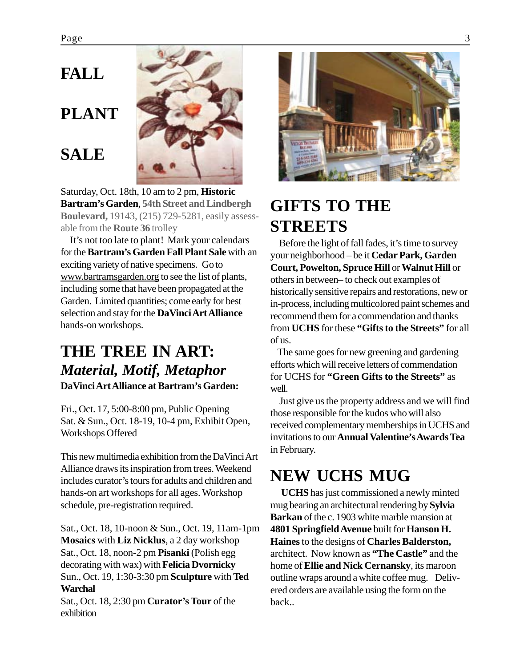## **FALL**

# **PLANT**

### **SALE**



Saturday, Oct. 18th, 10 am to 2 pm, **Historic Bartram's Garden**, **54th Street and Lindbergh Boulevard,** 19143, (215) 729-5281, easily assessable from the **Route 36** trolley

 It's not too late to plant! Mark your calendars for the **Bartram's Garden Fall Plant Sale** with an exciting variety of native specimens. Go to www.bartramsgarden.org to see the list of plants, including some that have been propagated at the Garden. Limited quantities; come early for best selection and stay for the **DaVinci Art Alliance** hands-on workshops.

### **THE TREE IN ART:** *Material, Motif, Metaphor* **DaVinci Art Alliance at Bartram's Garden:**

Fri., Oct. 17, 5:00-8:00 pm, Public Opening Sat. & Sun., Oct. 18-19, 10-4 pm, Exhibit Open, Workshops Offered

This new multimedia exhibition from the DaVinci Art Alliance draws its inspiration from trees. Weekend includes curator's tours for adults and children and hands-on art workshops for all ages. Workshop schedule, pre-registration required.

Sat., Oct. 18, 10-noon & Sun., Oct. 19, 11am-1pm **Mosaics** with **Liz Nicklus**, a 2 day workshop Sat., Oct. 18, noon-2 pm **Pisanki** (Polish egg decorating with wax) with **Felicia Dvornicky** Sun., Oct. 19, 1:30-3:30 pm **Sculpture** with **Ted Warchal**

Sat., Oct. 18, 2:30 pm **Curator's Tour** of the exhibition



# **GIFTS TO THE STREETS**

 Before the light of fall fades, it's time to survey your neighborhood – be it **Cedar Park, Garden Court, Powelton, Spruce Hill** or **Walnut Hill** or others in between– to check out examples of historically sensitive repairs and restorations, new or in-process, including multicolored paint schemes and recommend them for a commendation and thanks from **UCHS** for these **"Gifts to the Streets"** for all of us.

 The same goes for new greening and gardening efforts which will receive letters of commendation for UCHS for **"Green Gifts to the Streets"** as well.

 Just give us the property address and we will find those responsible for the kudos who will also received complementary memberships in UCHS and invitations to our **Annual Valentine's Awards Tea** in February.

## **NEW UCHS MUG**

 **UCHS** has just commissioned a newly minted mug bearing an architectural rendering by **Sylvia Barkan** of the c. 1903 white marble mansion at **4801 Springfield Avenue** built for **Hanson H. Haines** to the designs of **Charles Balderston,** architect. Now known as **"The Castle"** and the home of **Ellie and Nick Cernansky**, its maroon outline wraps around a white coffee mug. Delivered orders are available using the form on the back..